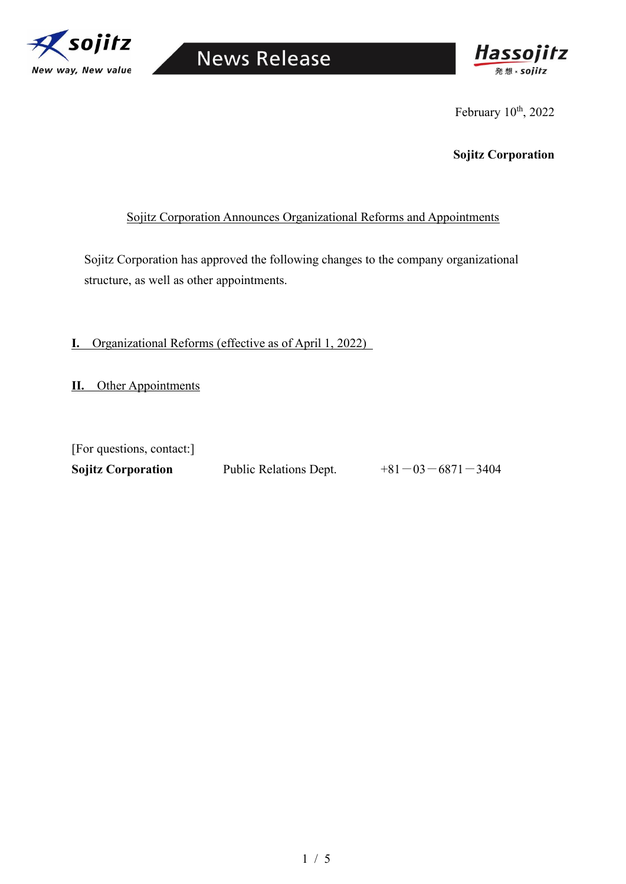

## **News Release**



February 10<sup>th</sup>, 2022

**Sojitz Corporation**

## Sojitz Corporation Announces Organizational Reforms and Appointments

Sojitz Corporation has approved the following changes to the company organizational structure, as well as other appointments.

**I.** Organizational Reforms (effective as of April 1, 2022)

**II.** Other Appointments

| [For questions, contact:] |                        |                          |
|---------------------------|------------------------|--------------------------|
| <b>Sojitz Corporation</b> | Public Relations Dept. | $+81 - 03 - 6871 - 3404$ |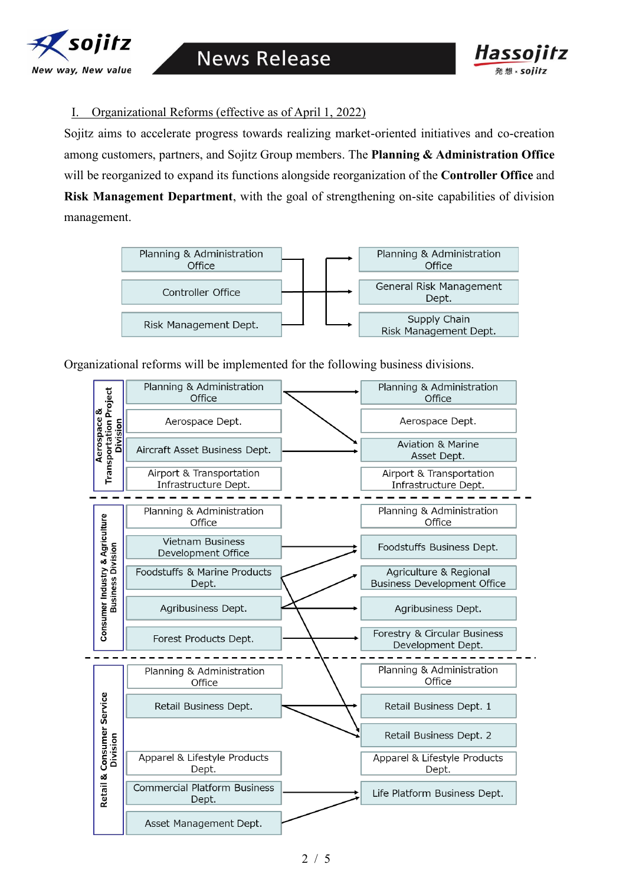



I. Organizational Reforms (effective as of April 1, 2022)

Sojitz aims to accelerate progress towards realizing market-oriented initiatives and co-creation among customers, partners, and Sojitz Group members. The **Planning & Administration Office** will be reorganized to expand its functions alongside reorganization of the **Controller Office** and **Risk Management Department**, with the goal of strengthening on-site capabilities of division management.



Organizational reforms will be implemented for the following business divisions.

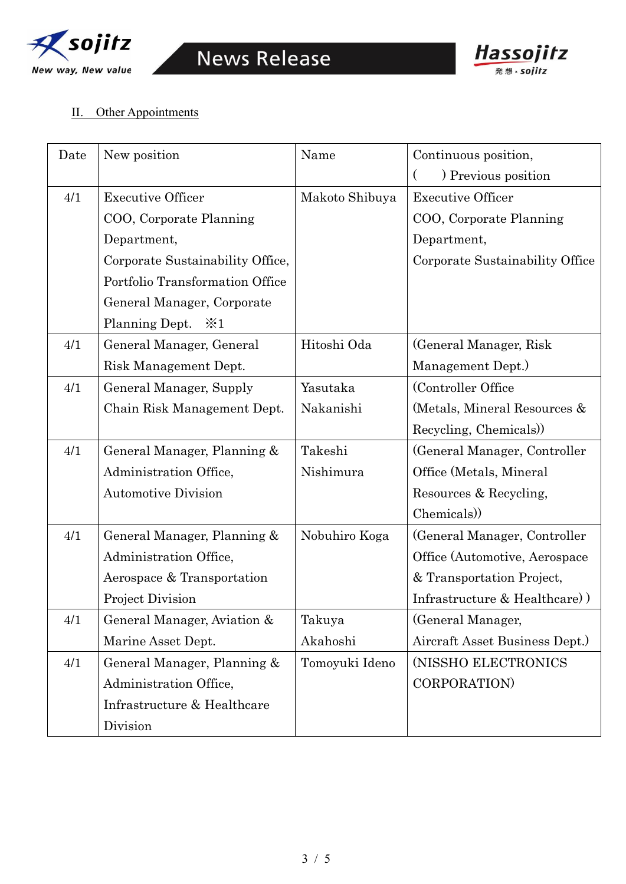



## II. Other Appointments

| Date | New position                     | Name           | Continuous position,            |
|------|----------------------------------|----------------|---------------------------------|
|      |                                  |                | ) Previous position             |
| 4/1  | <b>Executive Officer</b>         | Makoto Shibuya | <b>Executive Officer</b>        |
|      | COO, Corporate Planning          |                | COO, Corporate Planning         |
|      | Department,                      |                | Department,                     |
|      | Corporate Sustainability Office, |                | Corporate Sustainability Office |
|      | Portfolio Transformation Office  |                |                                 |
|      | General Manager, Corporate       |                |                                 |
|      | Planning Dept.<br>$\geq 1$       |                |                                 |
| 4/1  | General Manager, General         | Hitoshi Oda    | (General Manager, Risk)         |
|      | Risk Management Dept.            |                | Management Dept.)               |
| 4/1  | <b>General Manager, Supply</b>   | Yasutaka       | (Controller Office              |
|      | Chain Risk Management Dept.      | Nakanishi      | (Metals, Mineral Resources &    |
|      |                                  |                | Recycling, Chemicals)           |
| 4/1  | General Manager, Planning &      | Takeshi        | (General Manager, Controller    |
|      | Administration Office,           | Nishimura      | Office (Metals, Mineral         |
|      | <b>Automotive Division</b>       |                | Resources & Recycling,          |
|      |                                  |                | Chemicals)                      |
| 4/1  | General Manager, Planning &      | Nobuhiro Koga  | (General Manager, Controller)   |
|      | Administration Office,           |                | Office (Automotive, Aerospace   |
|      | Aerospace & Transportation       |                | & Transportation Project,       |
|      | Project Division                 |                | Infrastructure & Healthcare)    |
| 4/1  | General Manager, Aviation &      | Takuya         | (General Manager,               |
|      | Marine Asset Dept.               | Akahoshi       | Aircraft Asset Business Dept.)  |
| 4/1  | General Manager, Planning &      | Tomoyuki Ideno | (NISSHO ELECTRONICS             |
|      | Administration Office,           |                | CORPORATION)                    |
|      | Infrastructure & Healthcare      |                |                                 |
|      | Division                         |                |                                 |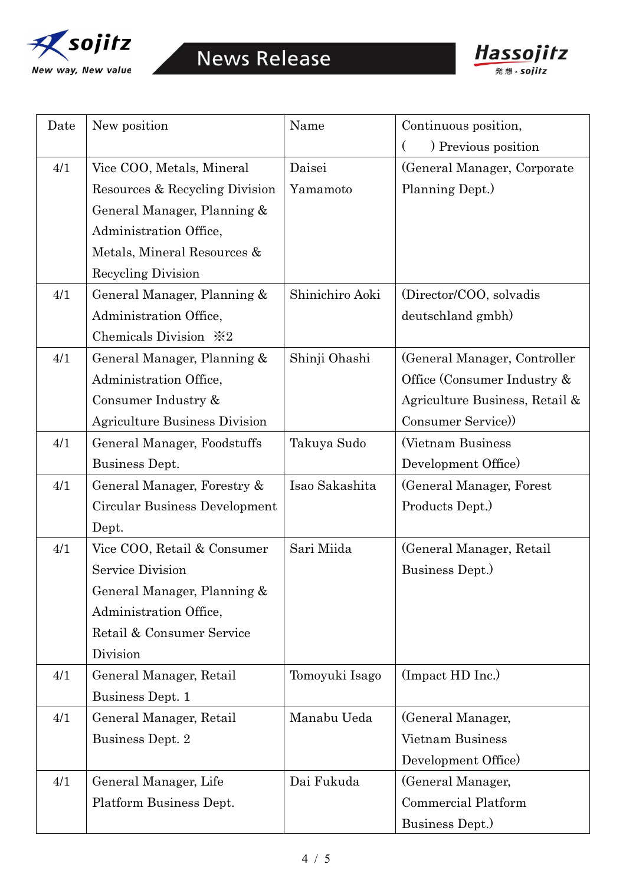



| Date | New position                         | Name            | Continuous position,           |
|------|--------------------------------------|-----------------|--------------------------------|
|      |                                      |                 | ) Previous position            |
| 4/1  | Vice COO, Metals, Mineral            | Daisei          | (General Manager, Corporate)   |
|      | Resources & Recycling Division       | Yamamoto        | Planning Dept.)                |
|      | General Manager, Planning &          |                 |                                |
|      | Administration Office,               |                 |                                |
|      | Metals, Mineral Resources &          |                 |                                |
|      | Recycling Division                   |                 |                                |
| 4/1  | General Manager, Planning &          | Shinichiro Aoki | (Director/COO, solvadis)       |
|      | Administration Office,               |                 | deutschland gmbh)              |
|      | Chemicals Division $\&2$             |                 |                                |
| 4/1  | General Manager, Planning &          | Shinji Ohashi   | (General Manager, Controller)  |
|      | Administration Office,               |                 | Office (Consumer Industry &    |
|      | Consumer Industry &                  |                 | Agriculture Business, Retail & |
|      | <b>Agriculture Business Division</b> |                 | Consumer Service)              |
| 4/1  | General Manager, Foodstuffs          | Takuya Sudo     | (Vietnam Business)             |
|      | Business Dept.                       |                 | Development Office)            |
| 4/1  | General Manager, Forestry &          | Isao Sakashita  | (General Manager, Forest       |
|      | Circular Business Development        |                 | Products Dept.)                |
|      | Dept.                                |                 |                                |
| 4/1  | Vice COO, Retail & Consumer          | Sari Miida      | (General Manager, Retail)      |
|      | <b>Service Division</b>              |                 | Business Dept.)                |
|      | General Manager, Planning &          |                 |                                |
|      | Administration Office,               |                 |                                |
|      | Retail & Consumer Service            |                 |                                |
|      | Division                             |                 |                                |
| 4/1  | General Manager, Retail              | Tomoyuki Isago  | (Impact HD Inc.)               |
|      | <b>Business Dept. 1</b>              |                 |                                |
| 4/1  | General Manager, Retail              | Manabu Ueda     | (General Manager,              |
|      | Business Dept. 2                     |                 | <b>Vietnam Business</b>        |
|      |                                      |                 | Development Office)            |
| 4/1  | General Manager, Life                | Dai Fukuda      | (General Manager,              |
|      | Platform Business Dept.              |                 | <b>Commercial Platform</b>     |
|      |                                      |                 | Business Dept.)                |